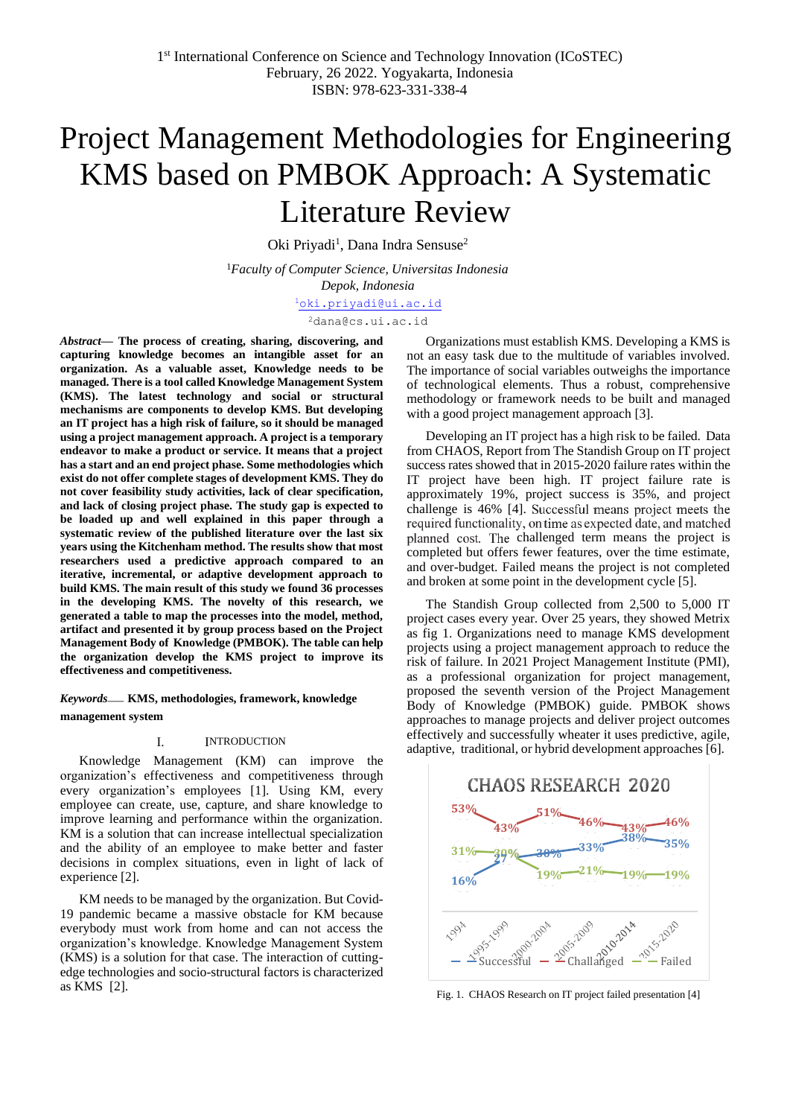# Project Management Methodologies for Engineering KMS based on PMBOK Approach: A Systematic Literature Review

Oki Priyadi<sup>1</sup>, Dana Indra Sensuse<sup>2</sup>

<sup>1</sup>*Faculty of Computer Science, Universitas Indonesia Depok, Indonesia* [1](mailto:1first.author@first-third.edu)[oki.priyadi@ui.ac.id](mailto:oki.priyadi@ui.ac.id)

[2](mailto:2dana@cs.ui.ac.id)[dana@cs.ui.ac.id](mailto:2dana@cs.ui.ac.id)

*Abstract***— The process of creating, sharing, discovering, and capturing knowledge becomes an intangible asset for an organization. As a valuable asset, Knowledge needs to be managed. There is a tool called Knowledge Management System (KMS). The latest technology and social or structural mechanisms are components to develop KMS. But developing an IT project has a high risk of failure, so it should be managed using a project management approach. A project is a temporary endeavor to make a product or service. It means that a project has a start and an end project phase. Some methodologies which exist do not offer complete stages of development KMS. They do not cover feasibility study activities, lack of clear specification, and lack of closing project phase. The study gap is expected to be loaded up and well explained in this paper through a systematic review of the published literature over the last six years using the Kitchenham method. The results show that most researchers used a predictive approach compared to an iterative, incremental, or adaptive development approach to build KMS. The main result of this study we found 36 processes in the developing KMS. The novelty of this research, we generated a table to map the processes into the model, method, artifact and presented it by group process based on the Project Management Body of Knowledge (PMBOK). The table can help the organization develop the KMS project to improve its effectiveness and competitiveness.**

# *Keywords*— **KMS, methodologies, framework, knowledge management system**

#### I. INTRODUCTION

Knowledge Management (KM) can improve the organization's effectiveness and competitiveness through every organization's employees [1]. Using KM, every employee can create, use, capture, and share knowledge to improve learning and performance within the organization. KM is a solution that can increase intellectual specialization and the ability of an employee to make better and faster decisions in complex situations, even in light of lack of experience [2].

KM needs to be managed by the organization. But Covid-19 pandemic became a massive obstacle for KM because everybody must work from home and can not access the organization's knowledge. Knowledge Management System (KMS) is a solution for that case. The interaction of cuttingedge technologies and socio-structural factors is characterized as KMS [2].

Organizations must establish KMS. Developing a KMS is not an easy task due to the multitude of variables involved. The importance of social variables outweighs the importance of technological elements. Thus a robust, comprehensive methodology or framework needs to be built and managed with a good project management approach [3].

Developing an IT project has a high risk to be failed. Data from CHAOS, Report from The Standish Group on IT project success rates showed that in 2015-2020 failure rates within the IT project have been high. IT project failure rate is approximately 19%, project success is 35%, and project challenge is 46% [4]. required functionality, on time as expected date, and matched planned cost. The challenged term means the project is completed but offers fewer features, over the time estimate, and over-budget. Failed means the project is not completed and broken at some point in the development cycle [5].

The Standish Group collected from 2,500 to 5,000 IT project cases every year. Over 25 years, they showed Metrix as fig 1. Organizations need to manage KMS development projects using a project management approach to reduce the risk of failure. In 2021 Project Management Institute (PMI), as a professional organization for project management, proposed the seventh version of the Project Management Body of Knowledge (PMBOK) guide. PMBOK shows approaches to manage projects and deliver project outcomes effectively and successfully wheater it uses predictive, agile, adaptive, traditional, or hybrid development approaches [6].



Fig. 1. CHAOS Research on IT project failed presentation [4]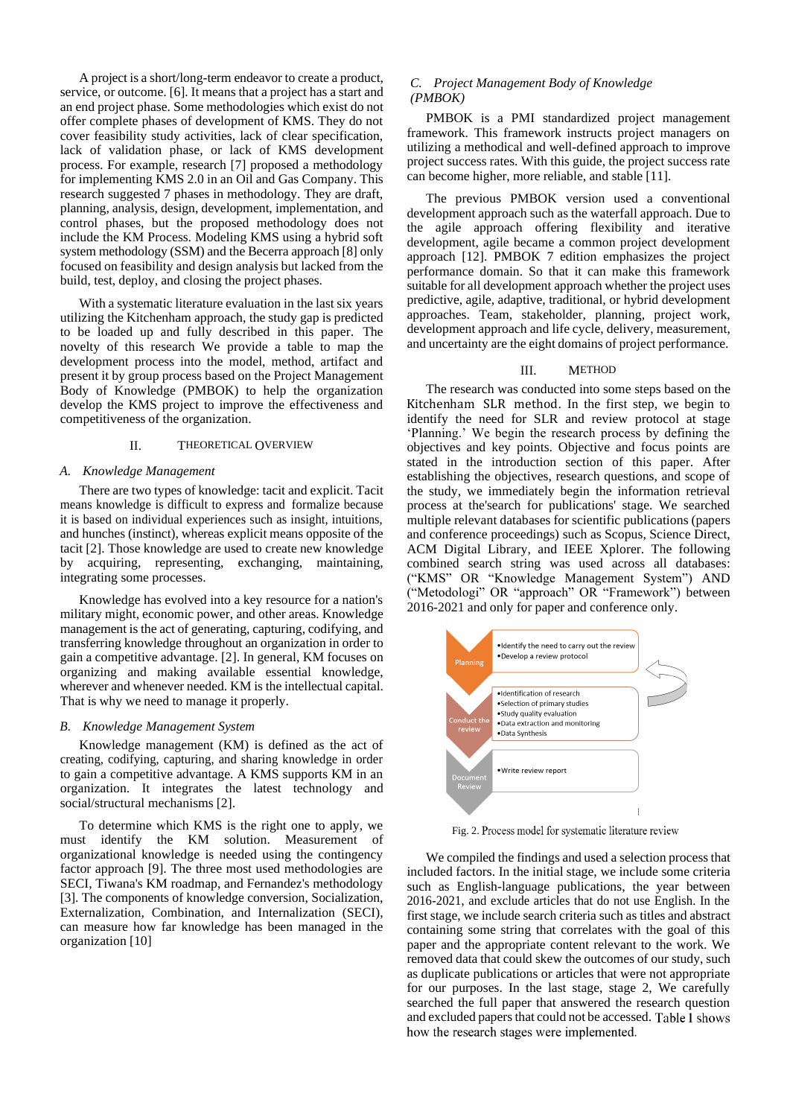A project is a short/long-term endeavor to create a product, service, or outcome. [6]. It means that a project has a start and an end project phase. Some methodologies which exist do not offer complete phases of development of KMS. They do not cover feasibility study activities, lack of clear specification, lack of validation phase, or lack of KMS development process. For example, research [7] proposed a methodology for implementing KMS 2.0 in an Oil and Gas Company. This research suggested 7 phases in methodology. They are draft, planning, analysis, design, development, implementation, and control phases, but the proposed methodology does not include the KM Process. Modeling KMS using a hybrid soft system methodology (SSM) and the Becerra approach [8] only focused on feasibility and design analysis but lacked from the build, test, deploy, and closing the project phases.

With a systematic literature evaluation in the last six years utilizing the Kitchenham approach, the study gap is predicted to be loaded up and fully described in this paper. The novelty of this research We provide a table to map the development process into the model, method, artifact and present it by group process based on the Project Management Body of Knowledge (PMBOK) to help the organization develop the KMS project to improve the effectiveness and competitiveness of the organization.

# II. THEORETICAL OVERVIEW

#### *A. Knowledge Management*

There are two types of knowledge: tacit and explicit. Tacit means knowledge is difficult to express and formalize because it is based on individual experiences such as insight, intuitions, and hunches (instinct), whereas explicit means opposite of the tacit [2]. Those knowledge are used to create new knowledge by acquiring, representing, exchanging, maintaining, integrating some processes.

Knowledge has evolved into a key resource for a nation's military might, economic power, and other areas. Knowledge management is the act of generating, capturing, codifying, and transferring knowledge throughout an organization in order to gain a competitive advantage. [2]. In general, KM focuses on organizing and making available essential knowledge, wherever and whenever needed. KM is the intellectual capital. That is why we need to manage it properly.

#### *B. Knowledge Management System*

Knowledge management (KM) is defined as the act of creating, codifying, capturing, and sharing knowledge in order to gain a competitive advantage. A KMS supports KM in an organization. It integrates the latest technology and social/structural mechanisms [2].

To determine which KMS is the right one to apply, we must identify the KM solution. Measurement of organizational knowledge is needed using the contingency factor approach [9]. The three most used methodologies are SECI, Tiwana's KM roadmap, and Fernandez's methodology [3]. The components of knowledge conversion, Socialization, Externalization, Combination, and Internalization (SECI), can measure how far knowledge has been managed in the organization [10]

## *C. Project Management Body of Knowledge (PMBOK)*

PMBOK is a PMI standardized project management framework. This framework instructs project managers on utilizing a methodical and well-defined approach to improve project success rates. With this guide, the project success rate can become higher, more reliable, and stable [11].

The previous PMBOK version used a conventional development approach such as the waterfall approach. Due to the agile approach offering flexibility and iterative development, agile became a common project development approach [12]. PMBOK 7 edition emphasizes the project performance domain. So that it can make this framework suitable for all development approach whether the project uses predictive, agile, adaptive, traditional, or hybrid development approaches. Team, stakeholder, planning, project work, development approach and life cycle, delivery, measurement, and uncertainty are the eight domains of project performance.

## III. METHOD

The research was conducted into some steps based on the Kitchenham SLR method. In the first step, we begin to identify the need for SLR and review protocol at stage 'Planning.' We begin the research process by defining the objectives and key points. Objective and focus points are stated in the introduction section of this paper. After establishing the objectives, research questions, and scope of the study, we immediately begin the information retrieval process at the'search for publications' stage. We searched multiple relevant databases for scientific publications (papers and conference proceedings) such as Scopus, Science Direct, ACM Digital Library, and IEEE Xplorer. The following combined search string was used across all databases: ("KMS" OR "Knowledge Management System") AND ("Metodologi" OR "approach" OR "Framework") between 2016-2021 and only for paper and conference only.



Fig. 2. Process model for systematic literature review

We compiled the findings and used a selection process that included factors. In the initial stage, we include some criteria such as English-language publications, the year between 2016-2021, and exclude articles that do not use English. In the first stage, we include search criteria such as titles and abstract containing some string that correlates with the goal of this paper and the appropriate content relevant to the work. We removed data that could skew the outcomes of our study, such as duplicate publications or articles that were not appropriate for our purposes. In the last stage, stage 2, We carefully searched the full paper that answered the research question and excluded papers that could not be accessed. Table 1 shows how the research stages were implemented.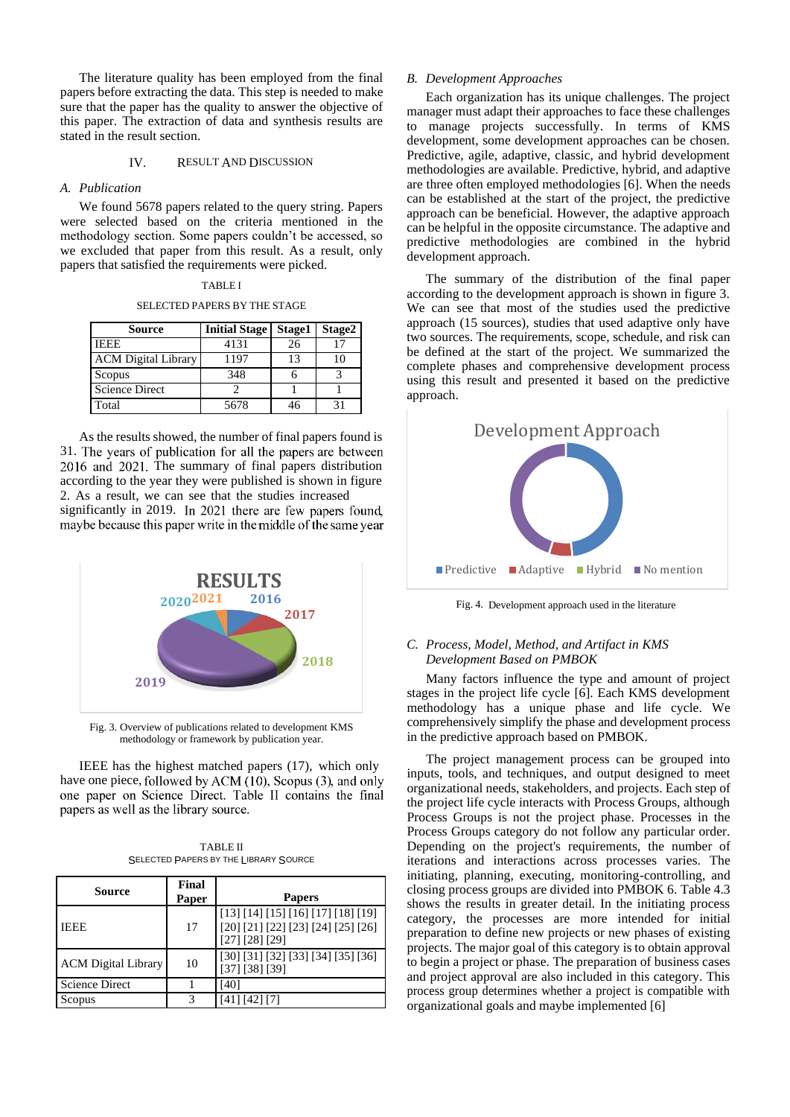The literature quality has been employed from the final papers before extracting the data. This step is needed to make sure that the paper has the quality to answer the objective of this paper. The extraction of data and synthesis results are stated in the result section.

## IV. RESULT AND DISCUSSION

## *A. Publication*

We found 5678 papers related to the query string. Papers were selected based on the criteria mentioned in the methodology section. Some papers couldn't be accessed, so we excluded that paper from this result. As a result, only papers that satisfied the requirements were picked.

#### SELECTED PAPERS BY THE STAGE

| Source                     | <b>Initial Stage</b> | Stage1 | Stage2 |
|----------------------------|----------------------|--------|--------|
| <b>IEEE</b>                | 4131                 | 26     |        |
| <b>ACM</b> Digital Library | 1197                 | 13     |        |
| Scopus                     | 348                  |        |        |
| <b>Science Direct</b>      |                      |        |        |
| Total                      | 5678                 | 46     |        |

As the results showed, the number of final papers found is 31. The years of publication for all the papers are between 2016 and 2021. The summary of final papers distribution according to the year they were published is shown in figure 2. As a result, we can see that the studies increased significantly in 2019. In 2021 there are few papers found, maybe because this paper write in the middle of the same year



Fig. 3. Overview of publications related to development KMS methodology or framework by publication year.

IEEE has the highest matched papers (17), which only have one piece, followed by ACM  $(10)$ , Scopus  $(3)$ , and only one paper on Science Direct. Table II contains the final papers as well as the library source.

| <b>TABLE II</b>                       |
|---------------------------------------|
| SELECTED PAPERS BY THE LIBRARY SOURCE |

| Source                     | Final<br>Paper | <b>Papers</b>                                                                              |
|----------------------------|----------------|--------------------------------------------------------------------------------------------|
| <b>IEEE</b>                | 17             | [13] [14] [15] [16] [17] [18] [19]<br>[20] [21] [22] [23] [24] [25] [26]<br>[27] [28] [29] |
| <b>ACM</b> Digital Library | 10             | [30] [31] [32] [33] [34] [35] [36]<br>[37] [38] [39]                                       |
| <b>Science Direct</b>      |                | 40                                                                                         |
| Scopus                     | 3              | 41  42  7                                                                                  |

## *B. Development Approaches*

Each organization has its unique challenges. The project manager must adapt their approaches to face these challenges to manage projects successfully. In terms of KMS development, some development approaches can be chosen. Predictive, agile, adaptive, classic, and hybrid development methodologies are available. Predictive, hybrid, and adaptive are three often employed methodologies [6]. When the needs can be established at the start of the project, the predictive approach can be beneficial. However, the adaptive approach can be helpful in the opposite circumstance. The adaptive and predictive methodologies are combined in the hybrid development approach.

The summary of the distribution of the final paper according to the development approach is shown in figure 3. We can see that most of the studies used the predictive approach (15 sources), studies that used adaptive only have two sources. The requirements, scope, schedule, and risk can be defined at the start of the project. We summarized the complete phases and comprehensive development process using this result and presented it based on the predictive approach.



Fig. 4. Development approach used in the literature

# *C. Process, Model, Method, and Artifact in KMS Development Based on PMBOK*

Many factors influence the type and amount of project stages in the project life cycle [6]. Each KMS development methodology has a unique phase and life cycle. We comprehensively simplify the phase and development process in the predictive approach based on PMBOK.

The project management process can be grouped into inputs, tools, and techniques, and output designed to meet organizational needs, stakeholders, and projects. Each step of the project life cycle interacts with Process Groups, although Process Groups is not the project phase. Processes in the Process Groups category do not follow any particular order. Depending on the project's requirements, the number of iterations and interactions across processes varies. The initiating, planning, executing, monitoring-controlling, and closing process groups are divided into PMBOK 6. Table 4.3 shows the results in greater detail. In the initiating process category, the processes are more intended for initial preparation to define new projects or new phases of existing projects. The major goal of this category is to obtain approval to begin a project or phase. The preparation of business cases and project approval are also included in this category. This process group determines whether a project is compatible with organizational goals and maybe implemented [6]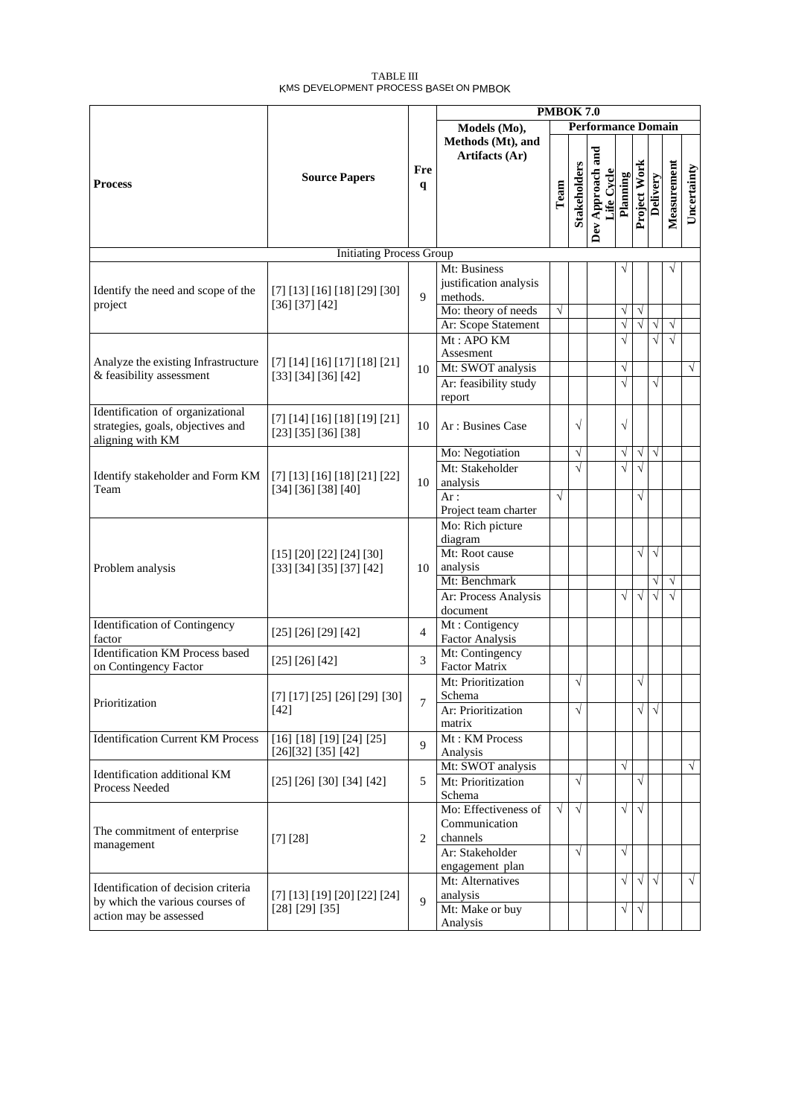## TABLE III KMS DEVELOPMENT PROCESS BASEt ON PMBOK

|                                                                                                  |                                                      | <b>PMBOK 7.0</b> |                                                                                                                |                           |                          |                                |                                                 |                                       |                             |                        |             |
|--------------------------------------------------------------------------------------------------|------------------------------------------------------|------------------|----------------------------------------------------------------------------------------------------------------|---------------------------|--------------------------|--------------------------------|-------------------------------------------------|---------------------------------------|-----------------------------|------------------------|-------------|
|                                                                                                  |                                                      |                  | Models (Mo),                                                                                                   | <b>Performance Domain</b> |                          |                                |                                                 |                                       |                             |                        |             |
| <b>Process</b>                                                                                   | <b>Source Papers</b>                                 | Fre<br>q         | Methods (Mt), and<br>Artifacts (Ar)                                                                            | Team                      | <b>Stakeholders</b>      | Dev Approach and<br>Life Cycle | Planning                                        | Project Work                          | Delivery                    | Measurement            | Uncertainty |
|                                                                                                  | <b>Initiating Process Group</b>                      |                  |                                                                                                                |                           |                          |                                |                                                 |                                       |                             |                        |             |
| Identify the need and scope of the<br>project                                                    | [7] [13] [16] [18] [29] [30]<br>[36] [37] [42]       | 9                | Mt: Business<br>justification analysis<br>methods.<br>Mo: theory of needs<br>Ar: Scope Statement               | $\sqrt{}$                 |                          |                                | $\sqrt{}$<br>$\sqrt{}$                          | $\sqrt{ }$<br>$\sqrt{}$               | $\sqrt{}$                   | $\sqrt{}$              |             |
| Analyze the existing Infrastructure<br>& feasibility assessment                                  | [7] [14] [16] [17] [18] [21]<br>[33] [34] [36] [42]  | 10               | Mt: APO KM<br>Assesment<br>Mt: SWOT analysis<br>Ar: feasibility study<br>report                                |                           |                          |                                | $\overline{\sqrt{2}}$<br>$\sqrt{}$<br>$\sqrt{}$ |                                       | $\sqrt{}$<br>$\sqrt{}$      | $\sqrt{}$              | $\sqrt{ }$  |
| Identification of organizational<br>strategies, goals, objectives and<br>aligning with KM        | [7] [14] [16] [18] [19] [21]<br>[23] [35] [36] [38]  | 10               | Ar: Busines Case                                                                                               |                           | $\sqrt{}$                |                                | $\sqrt{}$                                       |                                       |                             |                        |             |
| Identify stakeholder and Form KM<br>Team                                                         | [7] [13] [16] [18] [21] [22]<br>[34] [36] [38] [40]  | 10               | Mo: Negotiation<br>Mt: Stakeholder<br>analysis<br>Ar:<br>Project team charter                                  | $\sqrt{}$                 | $\sqrt{}$<br>$\sqrt{}$   |                                | $\sqrt{}$<br>$\sqrt{}$                          | $\sqrt{ }$<br>$\sqrt{ }$<br>$\sqrt{}$ | $\sqrt{}$                   |                        |             |
| Problem analysis                                                                                 | [15] [20] [22] [24] [30]<br>[33] [34] [35] [37] [42] | 10               | Mo: Rich picture<br>diagram<br>Mt: Root cause<br>analysis<br>Mt: Benchmark<br>Ar: Process Analysis<br>document |                           |                          |                                | $\sqrt{}$                                       | $\sqrt{}$<br>$\sqrt{ }$               | $\sqrt{}$<br>V<br>$\sqrt{}$ | $\sqrt{}$<br>$\sqrt{}$ |             |
| <b>Identification of Contingency</b><br>factor                                                   | [25] [26] [29] [42]                                  | 4                | Mt: Contigency<br><b>Factor Analysis</b>                                                                       |                           |                          |                                |                                                 |                                       |                             |                        |             |
| Identification KM Process based<br>on Contingency Factor                                         | [25] [26] [42]                                       | 3                | Mt: Contingency<br>Factor Matrix                                                                               |                           | $\sqrt{}$                |                                |                                                 | $\sqrt{}$                             |                             |                        |             |
| Prioritization                                                                                   | [7] [17] [25] [26] [29] [30]<br>[42]                 | 7                | Mt: Prioritization<br>Schema<br>Ar: Prioritization<br>matrix                                                   |                           | $\sqrt{}$                |                                |                                                 | $\sqrt{}$                             | $\sqrt{ }$                  |                        |             |
| <b>Identification Current KM Process</b>                                                         | $[16]$ [18] [19] [24] [25]<br>[26][32] [35] [42]     | $\mathbf{Q}$     | Mt: KM Process<br>Analysis                                                                                     |                           |                          |                                |                                                 |                                       |                             |                        |             |
| Identification additional KM<br>Process Needed                                                   | [25] [26] [30] [34] [42]                             | 5                | Mt: SWOT analysis<br>Mt: Prioritization<br>Schema                                                              |                           | $\sqrt{}$                |                                | $\sqrt{}$                                       | $\sqrt{}$                             |                             |                        | $\sqrt{ }$  |
| The commitment of enterprise<br>management                                                       | [7] [28]                                             | $\overline{2}$   | Mo: Effectiveness of<br>Communication<br>channels<br>Ar: Stakeholder<br>engagement plan                        | $\sqrt{ }$                | $\sqrt{ }$<br>$\sqrt{ }$ |                                | $\sqrt{ }$<br>$\sqrt{ }$                        | $\sqrt{ }$                            |                             |                        |             |
| Identification of decision criteria<br>by which the various courses of<br>action may be assessed | [7] [13] [19] [20] [22] [24]<br>[28] [29] [35]       | $\overline{Q}$   | Mt: Alternatives<br>analysis<br>Mt: Make or buy<br>Analysis                                                    |                           |                          |                                | $\sqrt{}$<br>$\sqrt{}$                          | $\sqrt{ }$<br>$\sqrt{ }$              | $\sqrt{ }$                  |                        | $\sqrt{ }$  |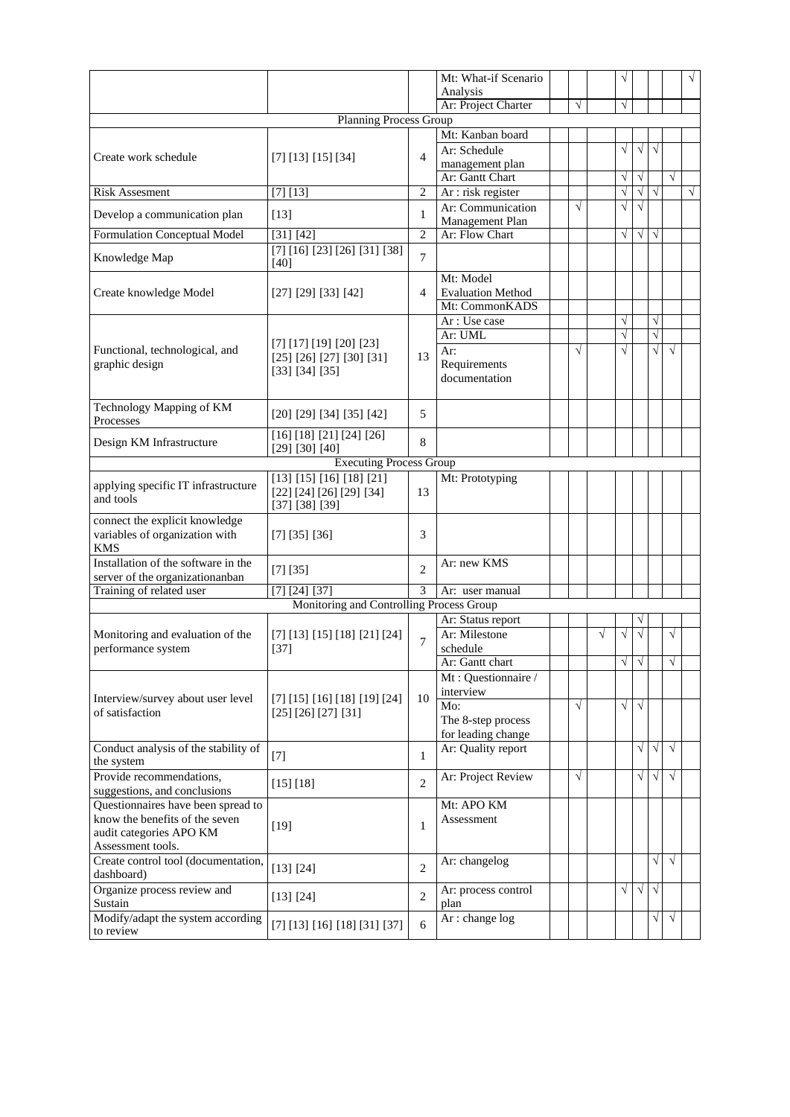|                                                                                                                      |                                                                        |                | Mt: What-if Scenario<br>Analysis      |            |   |            |            |           |            | $\sqrt{}$ |
|----------------------------------------------------------------------------------------------------------------------|------------------------------------------------------------------------|----------------|---------------------------------------|------------|---|------------|------------|-----------|------------|-----------|
|                                                                                                                      |                                                                        |                | Ar: Project Charter                   | $\sqrt{ }$ |   | $\sqrt{ }$ |            |           |            |           |
|                                                                                                                      | <b>Planning Process Group</b>                                          |                |                                       |            |   |            |            |           |            |           |
|                                                                                                                      |                                                                        |                | Mt: Kanban board                      |            |   |            |            |           |            |           |
| Create work schedule                                                                                                 | [7] [13] [15] [34]                                                     | $\overline{4}$ | Ar: Schedule<br>management plan       |            |   | $\sqrt{}$  | $\sqrt{}$  | $\sqrt{}$ |            |           |
|                                                                                                                      |                                                                        |                | Ar: Gantt Chart                       |            |   | $\sqrt{ }$ | $\sqrt{}$  |           | $\sqrt{}$  |           |
| <b>Risk Assesment</b>                                                                                                | [7] [13]                                                               | $\overline{2}$ | Ar : risk register                    |            |   | $\sqrt{}$  | $\sqrt{}$  | $\sqrt{}$ |            | $\sqrt{}$ |
|                                                                                                                      |                                                                        |                | Ar: Communication                     | $\sqrt{ }$ |   | $\sqrt{ }$ | $\sqrt{}$  |           |            |           |
| Develop a communication plan                                                                                         | $[13]$                                                                 | 1              | Management Plan                       |            |   |            |            |           |            |           |
| <b>Formulation Conceptual Model</b>                                                                                  | [31] [42]                                                              | $\overline{2}$ | Ar: Flow Chart                        |            |   | $\sqrt{}$  | $\sqrt{}$  | $\sqrt{}$ |            |           |
| Knowledge Map                                                                                                        | [7] [16] [23] [26] [31] [38]<br>[40]                                   | $\overline{7}$ |                                       |            |   |            |            |           |            |           |
| Create knowledge Model                                                                                               | [27] [29] [33] [42]                                                    | 4              | Mt: Model<br><b>Evaluation Method</b> |            |   |            |            |           |            |           |
|                                                                                                                      |                                                                        |                | Mt: CommonKADS                        |            |   |            |            |           |            |           |
|                                                                                                                      |                                                                        |                | Ar: Use case                          |            |   | $\sqrt{}$  |            | $\sqrt{}$ |            |           |
|                                                                                                                      |                                                                        |                | Ar: UML                               |            |   | $\sqrt{}$  |            | $\sqrt{}$ |            |           |
| Functional, technological, and                                                                                       | [7] [17] [19] [20] [23]                                                | 13             | Ar:                                   | $\sqrt{ }$ |   | $\sqrt{}$  |            | $\sqrt{}$ | $\sqrt{ }$ |           |
| graphic design                                                                                                       | [25] [26] [27] [30] [31]<br>[33] [34] [35]                             |                | Requirements<br>documentation         |            |   |            |            |           |            |           |
| Technology Mapping of KM<br>Processes                                                                                | $[20]$ $[29]$ $[34]$ $[35]$ $[42]$                                     | 5              |                                       |            |   |            |            |           |            |           |
|                                                                                                                      | [16] [18] [21] [24] [26]                                               |                |                                       |            |   |            |            |           |            |           |
| Design KM Infrastructure                                                                                             | [29] [30] [40]                                                         | 8              |                                       |            |   |            |            |           |            |           |
|                                                                                                                      | <b>Executing Process Group</b>                                         |                |                                       |            |   |            |            |           |            |           |
| applying specific IT infrastructure<br>and tools                                                                     | [13] [15] [16] [18] [21]<br>[22] [24] [26] [29] [34]<br>[37] [38] [39] | 13             | Mt: Prototyping                       |            |   |            |            |           |            |           |
| connect the explicit knowledge<br>variables of organization with<br><b>KMS</b>                                       | [7] [35] [36]                                                          | 3              |                                       |            |   |            |            |           |            |           |
| Installation of the software in the<br>server of the organizationanban                                               | [7] [35]                                                               | 2              | Ar: new KMS                           |            |   |            |            |           |            |           |
| Training of related user                                                                                             | [7] [24] [37]                                                          | $\mathcal{E}$  | Ar: user manual                       |            |   |            |            |           |            |           |
|                                                                                                                      | Monitoring and Controlling Process Group                               |                |                                       |            |   |            |            |           |            |           |
|                                                                                                                      |                                                                        |                | Ar: Status report                     |            |   |            | ٦          |           |            |           |
| Monitoring and evaluation of the                                                                                     | [7] [13] [15] [18] [21] [24]                                           | $\overline{7}$ | Ar: Milestone                         |            | √ | $\sqrt{}$  |            |           | V          |           |
| performance system                                                                                                   | $[37]$                                                                 |                | schedule                              |            |   |            |            |           |            |           |
|                                                                                                                      |                                                                        |                | Ar: Gantt chart                       |            |   |            | $\sqrt{ }$ |           |            |           |
| Interview/survey about user level                                                                                    | [7] [15] [16] [18] [19] [24]                                           | 10             | Mt: Questionnaire /<br>interview      |            |   |            |            |           |            |           |
| of satisfaction                                                                                                      | [25] [26] [27] [31]                                                    |                | Mo:                                   | $\sqrt{ }$ |   | $\sqrt{}$  | $\sqrt{}$  |           |            |           |
|                                                                                                                      |                                                                        |                | The 8-step process                    |            |   |            |            |           |            |           |
|                                                                                                                      |                                                                        |                | for leading change                    |            |   |            | $\sqrt{}$  | $\sqrt{}$ | $\sqrt{ }$ |           |
| Conduct analysis of the stability of<br>the system                                                                   | $[7]$                                                                  | 1              | Ar: Quality report                    |            |   |            |            |           |            |           |
| Provide recommendations,<br>suggestions, and conclusions                                                             | [15] [18]                                                              | $\overline{c}$ | Ar: Project Review                    | $\sqrt{ }$ |   |            | $\sqrt{}$  | $\sqrt{}$ | $\sqrt{ }$ |           |
| Questionnaires have been spread to<br>know the benefits of the seven<br>audit categories APO KM<br>Assessment tools. | $[19]$                                                                 | 1              | Mt: APO KM<br>Assessment              |            |   |            |            |           |            |           |
| Create control tool (documentation,<br>dashboard)                                                                    | [13] [24]                                                              | $\overline{2}$ | Ar: changelog                         |            |   |            |            | $\sqrt{}$ | $\sqrt{}$  |           |
| Organize process review and<br>Sustain                                                                               | [13] [24]                                                              | $\overline{2}$ | Ar: process control<br>plan           |            |   | $\sqrt{}$  | $\sqrt{}$  | $\sqrt{}$ |            |           |
| Modify/adapt the system according<br>to review                                                                       | [7] [13] [16] [18] [31] [37]                                           | 6              | Ar: change log                        |            |   |            |            | $\sqrt{}$ | $\sqrt{}$  |           |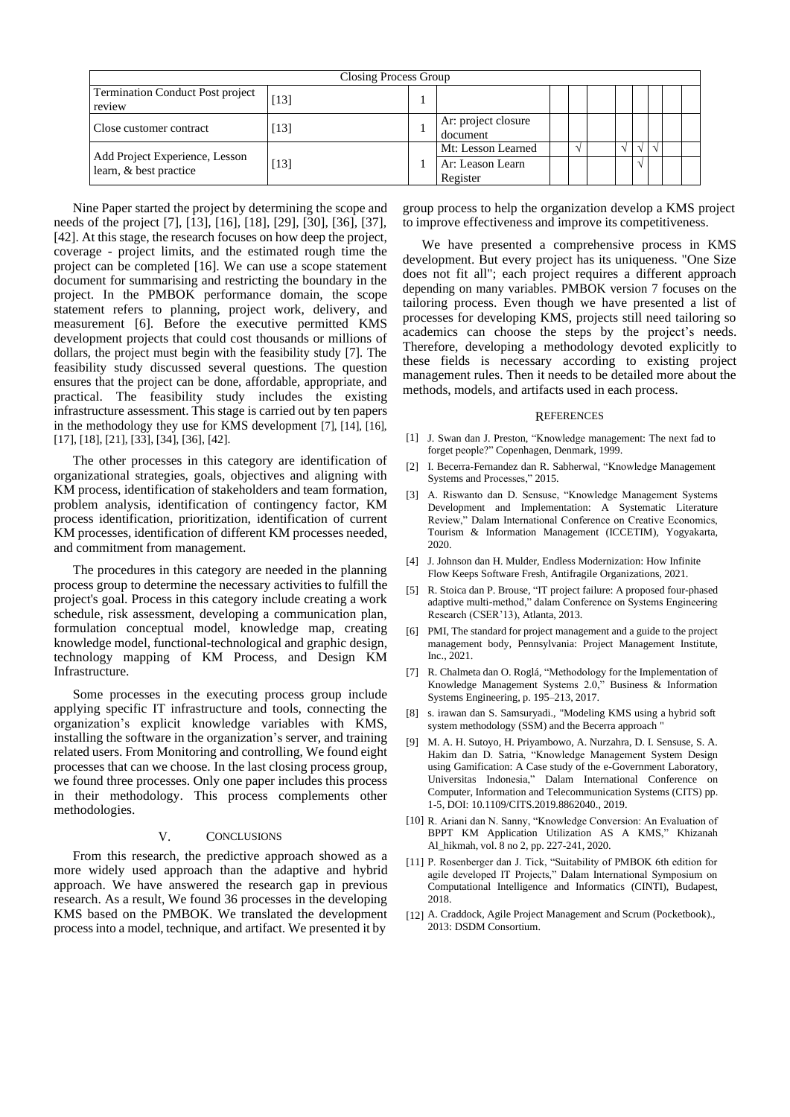| Closing Process Group                                    |     |  |                                 |  |  |  |  |  |  |  |
|----------------------------------------------------------|-----|--|---------------------------------|--|--|--|--|--|--|--|
| Termination Conduct Post project<br>review               |     |  |                                 |  |  |  |  |  |  |  |
| Close customer contract                                  | 131 |  | Ar: project closure<br>document |  |  |  |  |  |  |  |
|                                                          |     |  | Mt: Lesson Learned              |  |  |  |  |  |  |  |
| Add Project Experience, Lesson<br>learn, & best practice | 131 |  | Ar: Leason Learn<br>Register    |  |  |  |  |  |  |  |

Nine Paper started the project by determining the scope and needs of the project [7], [13], [16], [18], [29], [30], [36], [37], [42]. At this stage, the research focuses on how deep the project, coverage - project limits, and the estimated rough time the project can be completed [16]. We can use a scope statement document for summarising and restricting the boundary in the project. In the PMBOK performance domain, the scope statement refers to planning, project work, delivery, and measurement [6]. Before the executive permitted KMS development projects that could cost thousands or millions of dollars, the project must begin with the feasibility study [7]. The feasibility study discussed several questions. The question ensures that the project can be done, affordable, appropriate, and practical. The feasibility study includes the existing infrastructure assessment. This stage is carried out by ten papers in the methodology they use for KMS development [7], [14], [16], [17], [18], [21], [33], [34], [36], [42].

The other processes in this category are identification of organizational strategies, goals, objectives and aligning with KM process, identification of stakeholders and team formation, problem analysis, identification of contingency factor, KM process identification, prioritization, identification of current KM processes, identification of different KM processes needed, and commitment from management.

The procedures in this category are needed in the planning process group to determine the necessary activities to fulfill the project's goal. Process in this category include creating a work schedule, risk assessment, developing a communication plan, formulation conceptual model, knowledge map, creating knowledge model, functional-technological and graphic design, technology mapping of KM Process, and Design KM Infrastructure.

Some processes in the executing process group include applying specific IT infrastructure and tools, connecting the organization's explicit knowledge variables with KMS, installing the software in the organization's server, and training related users. From Monitoring and controlling, We found eight processes that can we choose. In the last closing process group, we found three processes. Only one paper includes this process in their methodology. This process complements other methodologies.

#### V. CONCLUSIONS

From this research, the predictive approach showed as a more widely used approach than the adaptive and hybrid approach. We have answered the research gap in previous research. As a result, We found 36 processes in the developing KMS based on the PMBOK. We translated the development processinto a model, technique, and artifact. We presented it by

group process to help the organization develop a KMS project to improve effectiveness and improve its competitiveness.

We have presented a comprehensive process in KMS development. But every project has its uniqueness. "One Size does not fit all"; each project requires a different approach depending on many variables. PMBOK version 7 focuses on the tailoring process. Even though we have presented a list of processes for developing KMS, projects still need tailoring so academics can choose the steps by the project's needs. Therefore, developing a methodology devoted explicitly to these fields is necessary according to existing project management rules. Then it needs to be detailed more about the methods, models, and artifacts used in each process.

#### **REFERENCES**

- [1] J. Swan dan J. Preston, "Knowledge management: The next fad to forget people?" Copenhagen, Denmark, 1999.
- [2] I. Becerra-Fernandez dan R. Sabherwal, "Knowledge Management Systems and Processes," 2015.
- [3] A. Riswanto dan D. Sensuse, "Knowledge Management Systems Development and Implementation: A Systematic Literature Review," Dalam International Conference on Creative Economics, Tourism & Information Management (ICCETIM), Yogyakarta, 2020.
- [4] J. Johnson dan H. Mulder, Endless Modernization: How Infinite Flow Keeps Software Fresh, Antifragile Organizations, 2021.
- [5] R. Stoica dan P. Brouse, "IT project failure: A proposed four-phased adaptive multi-method," dalam Conference on Systems Engineering Research (CSER'13), Atlanta, 2013.
- [6] PMI, The standard for project management and a guide to the project management body, Pennsylvania: Project Management Institute, Inc., 2021.
- [7] R. Chalmeta dan O. Roglá, "Methodology for the Implementation of Knowledge Management Systems 2.0," Business & Information Systems Engineering, p. 195–213, 2017.
- [8] s. irawan dan S. Samsuryadi., "Modeling KMS using a hybrid soft system methodology (SSM) and the Becerra approach
- [9] M. A. H. Sutoyo, H. Priyambowo, A. Nurzahra, D. I. Sensuse, S. A. Hakim dan D. Satria, "Knowledge Management System Design using Gamification: A Case study of the e-Government Laboratory, Universitas Indonesia," Dalam International Conference on Computer, Information and Telecommunication Systems (CITS) pp. 1-5, DOI: 10.1109/CITS.2019.8862040., 2019.
- [10] R. Ariani dan N. Sanny, "Knowledge Conversion: An Evaluation of BPPT KM Application Utilization AS A KMS," Khizanah Al\_hikmah, vol. 8 no 2, pp. 227-241, 2020.
- [11] P. Rosenberger dan J. Tick, "Suitability of PMBOK 6th edition for agile developed IT Projects," Dalam International Symposium on Computational Intelligence and Informatics (CINTI), Budapest, 2018.
- [12] A. Craddock, Agile Project Management and Scrum (Pocketbook)., 2013: DSDM Consortium.